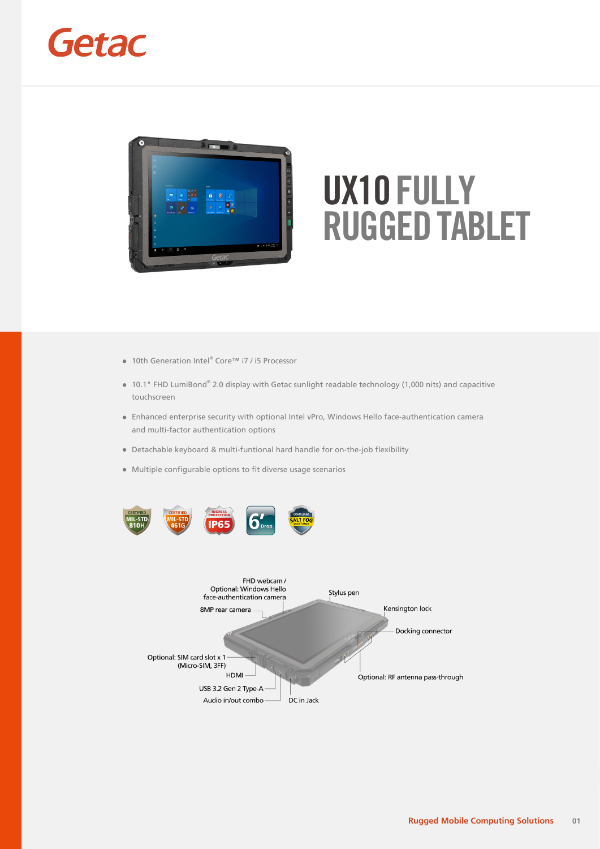



- 10th Generation Intel® Core™ i7 / i5 Processor
- 10.1" FHD LumiBond® 2.0 display with Getac sunlight readable technology (1,000 nits) and capacitive touchscreen
- Enhanced enterprise security with optional Intel vPro, Windows Hello face-authentication camera and multi-factor authentication options
- Detachable keyboard & multi-funtional hard handle for on-the-job flexibility
- Multiple configurable options to fit diverse usage scenarios



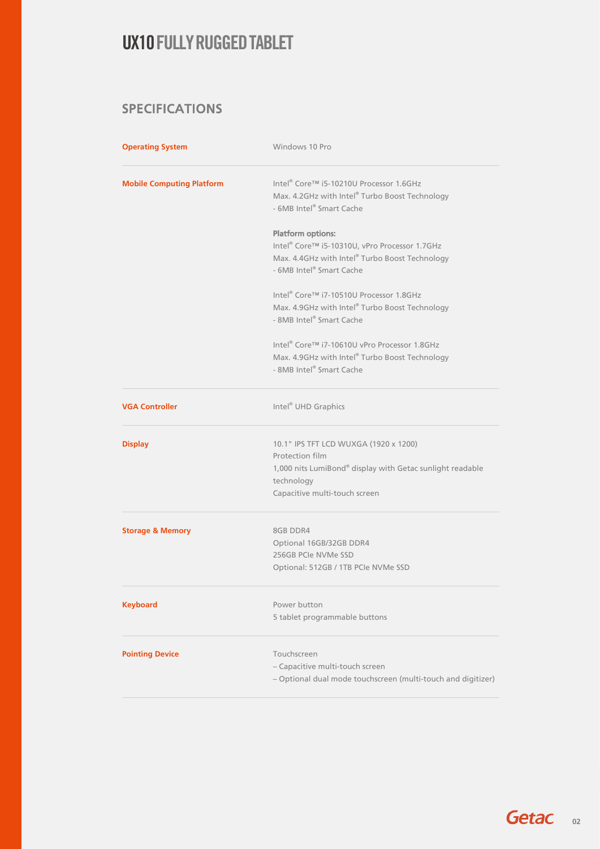#### SPECIFICATIONS

| <b>Operating System</b>          | Windows 10 Pro                                                                                                                                                       |  |
|----------------------------------|----------------------------------------------------------------------------------------------------------------------------------------------------------------------|--|
| <b>Mobile Computing Platform</b> | Intel® Core™ i5-10210U Processor 1.6GHz<br>Max. 4.2GHz with Intel® Turbo Boost Technology<br>- 6MB Intel® Smart Cache                                                |  |
|                                  | <b>Platform options:</b><br>Intel® Core™ i5-10310U, vPro Processor 1.7GHz<br>Max. 4.4GHz with Intel® Turbo Boost Technology<br>- 6MB Intel® Smart Cache              |  |
|                                  | Intel® Core™ i7-10510U Processor 1.8GHz<br>Max. 4.9GHz with Intel® Turbo Boost Technology<br>- 8MB Intel® Smart Cache                                                |  |
|                                  | Intel® Core™ i7-10610U vPro Processor 1.8GHz<br>Max. 4.9GHz with Intel® Turbo Boost Technology<br>- 8MB Intel® Smart Cache                                           |  |
| <b>VGA Controller</b>            | Intel <sup>®</sup> UHD Graphics                                                                                                                                      |  |
| <b>Display</b>                   | 10.1" IPS TFT LCD WUXGA (1920 x 1200)<br>Protection film<br>1,000 nits LumiBond® display with Getac sunlight readable<br>technology<br>Capacitive multi-touch screen |  |
| <b>Storage &amp; Memory</b>      | 8GB DDR4<br>Optional 16GB/32GB DDR4<br>256GB PCIe NVMe SSD<br>Optional: 512GB / 1TB PCIe NVMe SSD                                                                    |  |
| <b>Keyboard</b>                  | Power button<br>5 tablet programmable buttons                                                                                                                        |  |
| <b>Pointing Device</b>           | Touchscreen<br>- Capacitive multi-touch screen<br>- Optional dual mode touchscreen (multi-touch and digitizer)                                                       |  |

Getac<sub>02</sub>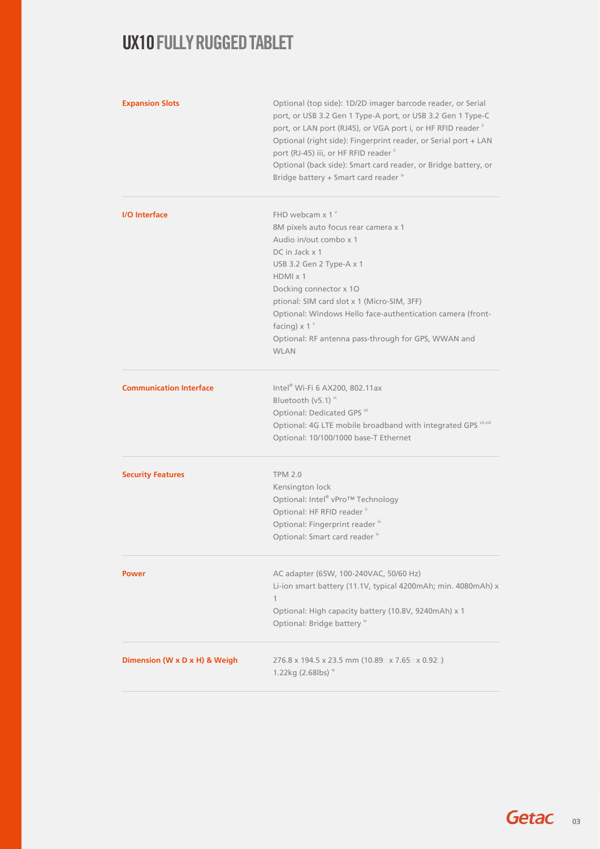| <b>Expansion Slots</b>         | Optional (top side): 1D/2D imager barcode reader, or Serial<br>port, or USB 3.2 Gen 1 Type-A port, or USB 3.2 Gen 1 Type-C<br>port, or LAN port (RJ45), or VGA port i, or HF RFID reader "<br>Optional (right side): Fingerprint reader, or Serial port + LAN<br>port (RJ-45) iii, or HF RFID reader "<br>Optional (back side): Smart card reader, or Bridge battery, or<br>Bridge battery + Smart card reader iv |  |  |
|--------------------------------|-------------------------------------------------------------------------------------------------------------------------------------------------------------------------------------------------------------------------------------------------------------------------------------------------------------------------------------------------------------------------------------------------------------------|--|--|
| <b>I/O</b> Interface           | FHD webcam $x 1^y$                                                                                                                                                                                                                                                                                                                                                                                                |  |  |
|                                | 8M pixels auto focus rear camera x 1                                                                                                                                                                                                                                                                                                                                                                              |  |  |
|                                | Audio in/out combo x 1                                                                                                                                                                                                                                                                                                                                                                                            |  |  |
|                                | DC in Jack x 1                                                                                                                                                                                                                                                                                                                                                                                                    |  |  |
|                                | USB 3.2 Gen 2 Type-A x 1<br>$HDMI \times 1$                                                                                                                                                                                                                                                                                                                                                                       |  |  |
|                                | Docking connector x 10                                                                                                                                                                                                                                                                                                                                                                                            |  |  |
|                                | ptional: SIM card slot x 1 (Micro-SIM, 3FF)                                                                                                                                                                                                                                                                                                                                                                       |  |  |
|                                | Optional: Windows Hello face-authentication camera (front-                                                                                                                                                                                                                                                                                                                                                        |  |  |
|                                | facing) $\times$ 1 $v$                                                                                                                                                                                                                                                                                                                                                                                            |  |  |
|                                | Optional: RF antenna pass-through for GPS, WWAN and                                                                                                                                                                                                                                                                                                                                                               |  |  |
|                                | <b>WIAN</b>                                                                                                                                                                                                                                                                                                                                                                                                       |  |  |
| <b>Communication Interface</b> | Intel® Wi-Fi 6 AX200, 802.11ax                                                                                                                                                                                                                                                                                                                                                                                    |  |  |
|                                | Bluetooth (v5.1) vi                                                                                                                                                                                                                                                                                                                                                                                               |  |  |
|                                | Optional: Dedicated GPS vii                                                                                                                                                                                                                                                                                                                                                                                       |  |  |
|                                | Optional: 4G LTE mobile broadband with integrated GPS vii,viii                                                                                                                                                                                                                                                                                                                                                    |  |  |
|                                | Optional: 10/100/1000 base-T Ethernet                                                                                                                                                                                                                                                                                                                                                                             |  |  |
| <b>Security Features</b>       | <b>TPM 2.0</b>                                                                                                                                                                                                                                                                                                                                                                                                    |  |  |
|                                | Kensington lock                                                                                                                                                                                                                                                                                                                                                                                                   |  |  |
|                                | Optional: Intel® vPro™ Technology                                                                                                                                                                                                                                                                                                                                                                                 |  |  |
|                                | Optional: HF RFID reader "                                                                                                                                                                                                                                                                                                                                                                                        |  |  |
|                                | Optional: Fingerprint reader "                                                                                                                                                                                                                                                                                                                                                                                    |  |  |
|                                | Optional: Smart card reader iv                                                                                                                                                                                                                                                                                                                                                                                    |  |  |
| <b>Power</b>                   | AC adapter (65W, 100-240VAC, 50/60 Hz)                                                                                                                                                                                                                                                                                                                                                                            |  |  |
|                                | Li-ion smart battery (11.1V, typical 4200mAh; min. 4080mAh) x                                                                                                                                                                                                                                                                                                                                                     |  |  |
|                                | 1                                                                                                                                                                                                                                                                                                                                                                                                                 |  |  |
|                                | Optional: High capacity battery (10.8V, 9240mAh) x 1                                                                                                                                                                                                                                                                                                                                                              |  |  |
|                                | Optional: Bridge battery iv                                                                                                                                                                                                                                                                                                                                                                                       |  |  |
| Dimension (W x D x H) & Weigh  | 276.8 x 194.5 x 23.5 mm (10.89 $\supset$ x 7.65 $\supset$ x 0.92 $\supset$ )<br>1.22kg (2.68lbs) $\frac{1}{x}$                                                                                                                                                                                                                                                                                                    |  |  |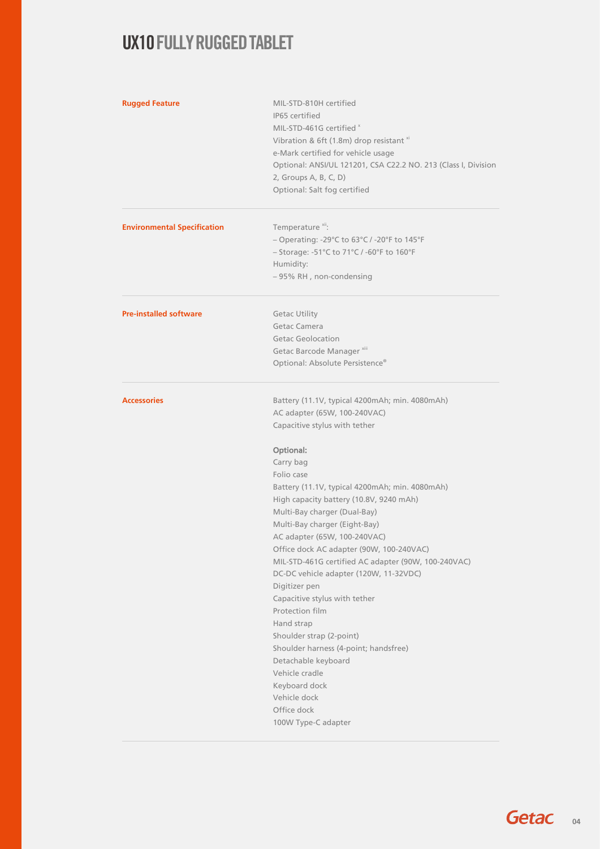| <b>Rugged Feature</b>              | MIL-STD-810H certified<br>IP65 certified<br>MIL-STD-461G certified x<br>Vibration & 6ft (1.8m) drop resistant xi<br>e-Mark certified for vehicle usage<br>Optional: ANSI/UL 121201, CSA C22.2 NO. 213 (Class I, Division<br>2, Groups A, B, C, D)<br>Optional: Salt fog certified                                                                                                                                                                                                                                                                                                                                                                                                                                                                                          |
|------------------------------------|----------------------------------------------------------------------------------------------------------------------------------------------------------------------------------------------------------------------------------------------------------------------------------------------------------------------------------------------------------------------------------------------------------------------------------------------------------------------------------------------------------------------------------------------------------------------------------------------------------------------------------------------------------------------------------------------------------------------------------------------------------------------------|
| <b>Environmental Specification</b> | Temperature <sup>xii</sup> :<br>- Operating: -29°C to 63°C / -20°F to 145°F<br>- Storage: -51°C to 71°C / -60°F to 160°F<br>Humidity:<br>- 95% RH, non-condensing                                                                                                                                                                                                                                                                                                                                                                                                                                                                                                                                                                                                          |
| <b>Pre-installed software</b>      | <b>Getac Utility</b><br>Getac Camera<br><b>Getac Geolocation</b><br>Getac Barcode Manager <sup>xiii</sup><br>Optional: Absolute Persistence®                                                                                                                                                                                                                                                                                                                                                                                                                                                                                                                                                                                                                               |
| <b>Accessories</b>                 | Battery (11.1V, typical 4200mAh; min. 4080mAh)<br>AC adapter (65W, 100-240VAC)<br>Capacitive stylus with tether<br>Optional:<br>Carry bag<br>Folio case<br>Battery (11.1V, typical 4200mAh; min. 4080mAh)<br>High capacity battery (10.8V, 9240 mAh)<br>Multi-Bay charger (Dual-Bay)<br>Multi-Bay charger (Eight-Bay)<br>AC adapter (65W, 100-240VAC)<br>Office dock AC adapter (90W, 100-240VAC)<br>MIL-STD-461G certified AC adapter (90W, 100-240VAC)<br>DC-DC vehicle adapter (120W, 11-32VDC)<br>Digitizer pen<br>Capacitive stylus with tether<br>Protection film<br>Hand strap<br>Shoulder strap (2-point)<br>Shoulder harness (4-point; handsfree)<br>Detachable keyboard<br>Vehicle cradle<br>Keyboard dock<br>Vehicle dock<br>Office dock<br>100W Type-C adapter |

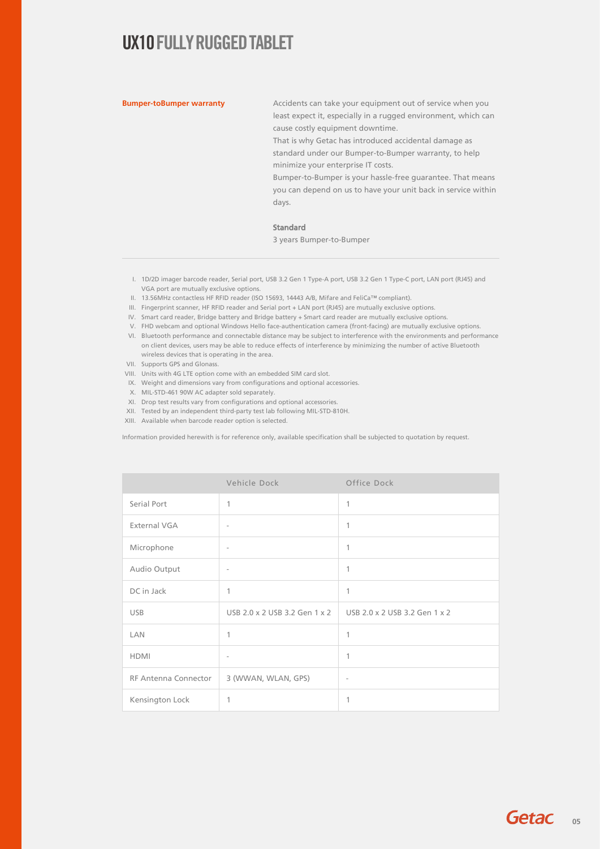**Bumper-toBumper warranty** Accidents can take your equipment out of service when you least expect it, especially in a rugged environment, which can cause costly equipment downtime.

> That is why Getac has introduced accidental damage as standard under our Bumper-to-Bumper warranty, to help minimize your enterprise IT costs.

Bumper-to-Bumper is your hassle-free guarantee. That means you can depend on us to have your unit back in service within days.

#### Standard

3 years Bumper-to-Bumper

- I. 1D/2D imager barcode reader, Serial port, USB 3.2 Gen 1 Type-A port, USB 3.2 Gen 1 Type-C port, LAN port (RJ45) and VGA port are mutually exclusive options.
- II. 13.56MHz contactless HF RFID reader (ISO 15693, 14443 A/B, Mifare and FeliCa™ compliant).
- III. Fingerprint scanner, HF RFID reader and Serial port + LAN port (RJ45) are mutually exclusive options.
- IV. Smart card reader, Bridge battery and Bridge battery + Smart card reader are mutually exclusive options.
- V. FHD webcam and optional Windows Hello face-authentication camera (front-facing) are mutually exclusive options.
- VI. Bluetooth performance and connectable distance may be subject to interference with the environments and performance on client devices, users may be able to reduce effects of interference by minimizing the number of active Bluetooth wireless devices that is operating in the area.
- VII. Supports GPS and Glonass.
- VIII. Units with 4G LTE option come with an embedded SIM card slot.
- IX. Weight and dimensions vary from configurations and optional accessories.
- X. MIL-STD-461 90W AC adapter sold separately.
- XI. Drop test results vary from configurations and optional accessories.
- XII. Tested by an independent third-party test lab following MIL-STD-810H.
- XIII. Available when barcode reader option is selected.

Information provided herewith is for reference only, available specification shall be subjected to quotation by request.

|                             | Vehicle Dock                  | Office Dock                   |
|-----------------------------|-------------------------------|-------------------------------|
| Serial Port                 | 1                             | 1                             |
| External VGA                | $\overline{\phantom{a}}$      | 1                             |
| Microphone                  | $\overline{\phantom{a}}$      | 1                             |
| Audio Output                | $\overline{\phantom{a}}$      | 1                             |
| DC in Jack                  | 1                             | 1                             |
| <b>USB</b>                  | USB 2.0 x 2 USB 3.2 Gen 1 x 2 | USB 2.0 x 2 USB 3.2 Gen 1 x 2 |
| LAN                         | 1                             | 1                             |
| <b>HDMI</b>                 | $\overline{\phantom{a}}$      | 1                             |
| <b>RF Antenna Connector</b> | 3 (WWAN, WLAN, GPS)           | $\overline{\phantom{a}}$      |
| Kensington Lock             | 1                             | 1                             |